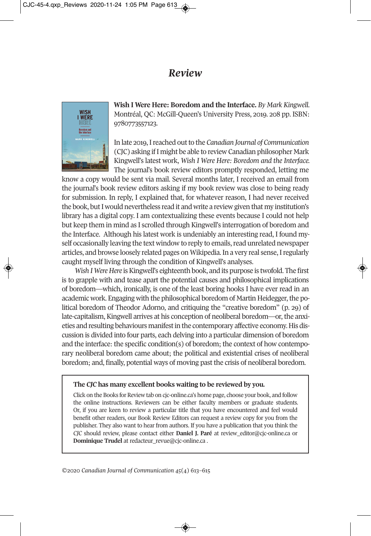## *Review*



**Wish I Were Here: Boredom and the Interface.** *By Mark Kingwell.* Montréal, QC: McGill-Queen's University Press, 2019. 208 pp. ISBN: 9780773557123.

In late 2019,Ireached outto the *Canadian Journal of Communication* (CJC) asking ifI might be able to review Canadian philosopher Mark Kingwell's latest work, *Wish I Were Here: Boredom and the Interface.* The journal's book review editors promptly responded, letting me

know a copy would be sent via mail. Several months later, I received an email from the journal's book review editors asking if my book review was close to being ready for submission. In reply, I explained that, for whatever reason, I had never received the book, butI would nevertheless read it and write a review given that my institution's library has a digital copy. I am contextualizing these events because I could not help but keep them in mind as I scrolled through Kingwell's interrogation of boredom and the Interface. Although his latest work is undeniably an interesting read, I found myself occasionally leaving the text window to reply to emails, read unrelated newspaper articles, and browse loosely related pages on Wikipedia. In a very real sense, I regularly caught myself living through the condition of Kingwell's analyses.

*Wish I Were Here* isKingwell's eighteenth book, and its purpose is twofold. The first is to grapple with and tease apart the potential causes and philosophical implications of boredom—which, ironically, is one of the least boring hooks I have ever read in an academic work. Engaging with the philosophical boredom of Martin Heidegger, the political boredom of Theodor Adorno, and critiquing the "creative boredom" (p. 29) of late-capitalism, Kingwell arrives at his conception of neoliberal boredom—or, the anxieties and resulting behaviours manifestin the contemporary affective economy. His discussion is divided into four parts, each delving into a particular dimension of boredom and the interface: the specific condition(s) of boredom; the context of how contemporary neoliberal boredom came about; the political and existential crises of neoliberal boredom; and, finally, potential ways of moving past the crisis of neoliberal boredom.

#### **The** *CJC* **has many excellent books waiting to be reviewed by you***.*

Click on the Books for Review tab on [cjc-online.ca's](http://cjc-online.ca) home page, choose your book, and follow the online instructions. Reviewers can be either faculty members or graduate students. Or, if you are keen to review a particular title that you have encountered and feel would benefit other readers, our Book Review Editors can request a review copy for you from the publisher. They also want to hear from authors. If you have a publication that you think the *CJC* should review, please contact either **Daniel J. Paré** at [review\\_editor@cjc-online.ca](mailto:review_editor@cjc-online.ca) or **Dominique Trudel** at [redacteur\\_revue@cjc-online.ca](mailto:redacteur_revue@cjc-online.ca) .

◈

*©*2020 *Canadian Journal of [Communication](http://www.cjc-online.ca) 45*(4) 613–615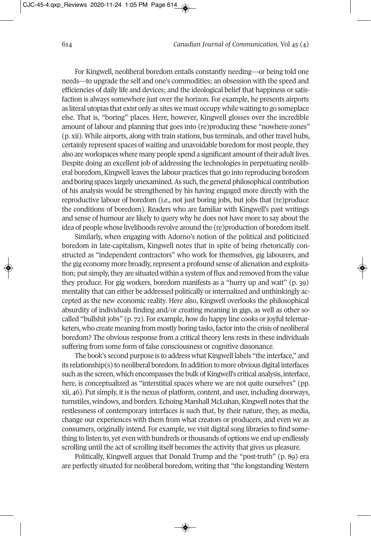614 *Canadian Journal of [Communication,](http://cjc-online.ca)* Vol 45 (4)

For Kingwell, neoliberal boredom entails constantly needing—or being told one needs—to upgrade the self and one's commodities; an obsession with the speed and efficiencies of daily life and devices; and the ideological belief that happiness or satisfaction is always somewhere just over the horizon. For example, he presents airports as literal utopias that exist only as sites we must occupy while waiting to go someplace else. That is, "boring" places. Here, however, Kingwell glosses over the incredible amount of labour and planning that goes into (re)producing these "nowhere-zones" (p. xii). While airports, along with train stations, bus terminals, and othertravel hubs, certainly represent spaces of waiting and unavoidable boredom for most people, they also are workspaces where many people spend a significant amount of their adult lives. Despite doing an excellent job of addressing the technologies in perpetuating neoliberal boredom, Kingwell leaves the labour practices that go into reproducing boredom and boring spaces largely unexamined. As such, the general philosophical contribution of his analysis would be strengthened by his having engaged more directly with the reproductive labour of boredom (i.e., not just boring jobs, but jobs that (re)produce the conditions of boredom). Readers who are familiar with Kingwell's past writings and sense of humour are likely to query why he does not have more to say about the idea of people whose livelihoods revolve around the (re)production of boredom itself.

Similarly, when engaging with Adorno's notion of the political and politicized boredom in late-capitalism, Kingwell notes that in spite of being rhetorically constructed as "independent contractors" who work for themselves, gig labourers, and the gig economy more broadly, represent a profound sense of alienation and exploitation; put simply, they are situated within a system of flux and removed from the value they produce. For gig workers, boredom manifests as a "hurry up and wait" (p. 39) mentality that can either be addressed politically or internalized and unthinkingly accepted as the new economic reality. Here also, Kingwell overlooks the philosophical absurdity of individuals finding and/or creating meaning in gigs, as well as other socalled "bullshit jobs" (p. 72). For example, how do happy line cooks or joyful telemarketers, who create meaning from mostly boring tasks, factorinto the crisis of neoliberal boredom? The obvious response from a critical theory lens rests in these individuals suffering from some form of false consciousness or cognitive dissonance.

The book's second purpose is to address what Kingwell labels "the interface," and its relationship(s) to neoliberal boredom.In addition to more obvious digital interfaces such as the screen, which encompasses the bulk of Kingwell's critical analysis, interface, here, is conceptualized as "interstitial spaces where we are not quite ourselves" (pp. xii, 46). Put simply, it is the nexus of platform, content, and user, including doorways, turnstiles, windows, and borders. Echoing Marshall McLuhan, Kingwell notes that the restlessness of contemporary interfaces is such that, by their nature, they, as media, change our experiences with them from what creators or producers, and even we as consumers, originally intend. For example, we visit digital song libraries to find something to listen to, yet even with hundreds or thousands of options we end up endlessly scrolling until the act of scrolling itself becomes the activity that gives us pleasure.

Politically, Kingwell argues that Donald Trump and the "post-truth" (p. 89) era are perfectly situated for neoliberal boredom, writing that "the longstanding Western

◈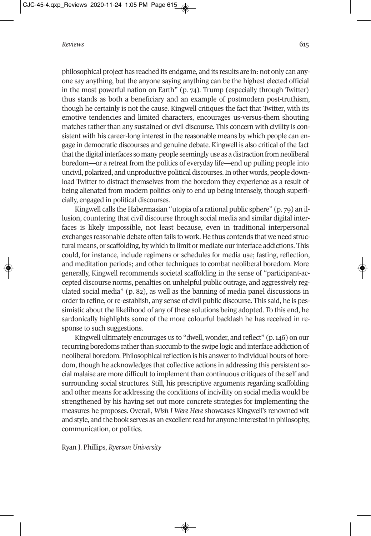#### *Reviews* 615

philosophical project has reached its endgame, and its results are in: not only can anyone say anything, but the anyone saying anything can be the highest elected official in the most powerful nation on Earth" (p. 74). Trump (especially through Twitter) thus stands as both a beneficiary and an example of postmodern post-truthism, though he certainly is not the cause. Kingwell critiques the fact that Twitter, with its emotive tendencies and limited characters, encourages us-versus-them shouting matches rather than any sustained or civil discourse. This concern with civility is consistent with his career-long interest in the reasonable means by which people can engage in democratic discourses and genuine debate. Kingwell is also critical of the fact that the digital interfaces so many people seemingly use as a distraction from neoliberal boredom—or a retreat from the politics of everyday life—end up pulling people into uncivil, polarized, and unproductive political discourses.In other words, people download Twitter to distract themselves from the boredom they experience as a result of being alienated from modern politics only to end up being intensely, though superficially, engaged in political discourses.

Kingwell calls the Habermasian "utopia of a rational public sphere" (p. 79) an illusion, countering that civil discourse through social media and similar digital interfaces is likely impossible, not least because, even in traditional interpersonal exchanges reasonable debate often fails to work. He thus contends that we need structural means, or scaffolding, by which to limit or mediate ourinterface addictions. This could, for instance, include regimens or schedules for media use; fasting, reflection, and meditation periods; and other techniques to combat neoliberal boredom. More generally, Kingwell recommends societal scaffolding in the sense of "participant-accepted discourse norms, penalties on unhelpful public outrage, and aggressively regulated social media" (p. 82), as well as the banning of media panel discussions in order to refine, or re-establish, any sense of civil public discourse. This said, he is pessimistic about the likelihood of any of these solutions being adopted. To this end, he sardonically highlights some of the more colourful backlash he has received in response to such suggestions.

Kingwell ultimately encourages us to "dwell, wonder, and reflect" (p. 146) on our recurring boredoms rather than succumb to the swipe logic and interface addiction of neoliberal boredom. Philosophical reflection is his answer to individual bouts of boredom, though he acknowledges that collective actions in addressing this persistent social malaise are more difficult to implement than continuous critiques of the self and surrounding social structures. Still, his prescriptive arguments regarding scaffolding and other means for addressing the conditions of incivility on social media would be strengthened by his having set out more concrete strategies for implementing the measures he proposes. Overall, *Wish I Were Here* showcases Kingwell's renowned wit and style, and the book serves as an excellent read for anyone interested in philosophy, communication, or politics.

◈

Ryan J. Phillips, *Ryerson University*